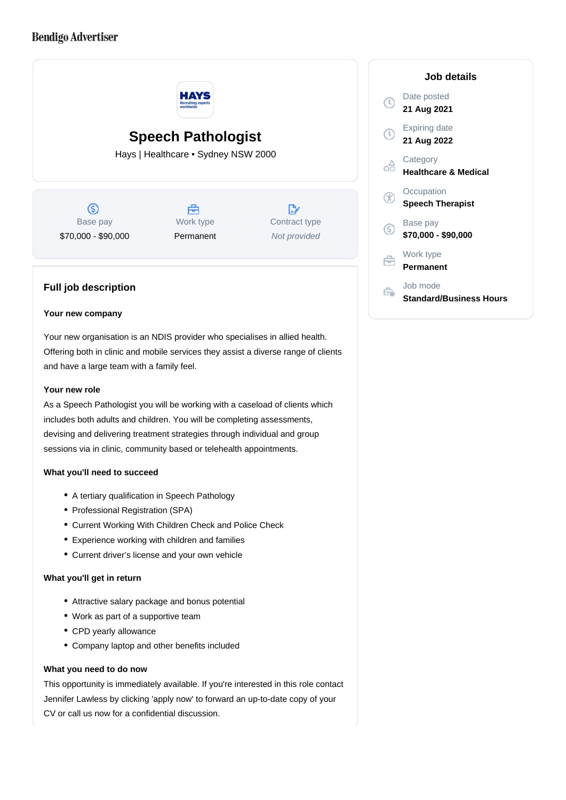# **Bendigo Advertiser**



#### **Your new company**

Your new organisation is an NDIS provider who specialises in allied health. Offering both in clinic and mobile services they assist a diverse range of clients and have a large team with a family feel.

### **Your new role**

As a Speech Pathologist you will be working with a caseload of clients which includes both adults and children. You will be completing assessments, devising and delivering treatment strategies through individual and group sessions via in clinic, community based or telehealth appointments.

## **What you'll need to succeed**

- A tertiary qualification in Speech Pathology
- Professional Registration (SPA)
- Current Working With Children Check and Police Check
- Experience working with children and families
- Current driver's license and your own vehicle

#### **What you'll get in return**

- Attractive salary package and bonus potential
- Work as part of a supportive team
- CPD yearly allowance
- Company laptop and other benefits included

### **What you need to do now**

This opportunity is immediately available. If you're interested in this role contact Jennifer Lawless by clicking 'apply now' to forward an up-to-date copy of your CV or call us now for a confidential discussion.

## **Job details** Date posted ര **21 Aug 2021** Expiring date **21 Aug 2022 Category** oĦ **Healthcare & Medical Occupation** G **Speech Therapist** Base pay (S) **\$70,000 - \$90,000** Work type e **Permanent** Job mode Ê.

**Standard/Business Hours**